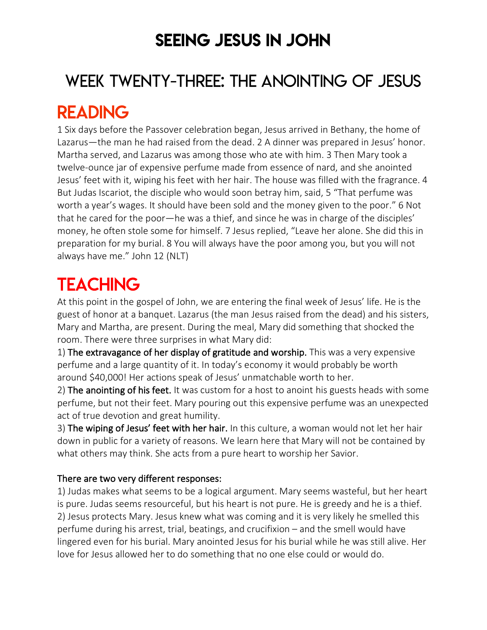### SEEING JESUS IN JOHN

# WEEK TWENTY-THREE: THE ANOINTING OF JESUS

### READING

1 Six days before the Passover celebration began, Jesus arrived in Bethany, the home of Lazarus—the man he had raised from the dead. 2 A dinner was prepared in Jesus' honor. Martha served, and Lazarus was among those who ate with him. 3 Then Mary took a twelve-ounce jar of expensive perfume made from essence of nard, and she anointed Jesus' feet with it, wiping his feet with her hair. The house was filled with the fragrance. 4 But Judas Iscariot, the disciple who would soon betray him, said, 5 "That perfume was worth a year's wages. It should have been sold and the money given to the poor." 6 Not that he cared for the poor—he was a thief, and since he was in charge of the disciples' money, he often stole some for himself. 7 Jesus replied, "Leave her alone. She did this in preparation for my burial. 8 You will always have the poor among you, but you will not always have me." John 12 (NLT)

## **TEACHING**

At this point in the gospel of John, we are entering the final week of Jesus' life. He is the guest of honor at a banquet. Lazarus (the man Jesus raised from the dead) and his sisters, Mary and Martha, are present. During the meal, Mary did something that shocked the room. There were three surprises in what Mary did:

1) The extravagance of her display of gratitude and worship. This was a very expensive perfume and a large quantity of it. In today's economy it would probably be worth around \$40,000! Her actions speak of Jesus' unmatchable worth to her.

2) The anointing of his feet. It was custom for a host to anoint his guests heads with some perfume, but not their feet. Mary pouring out this expensive perfume was an unexpected act of true devotion and great humility.

3) The wiping of Jesus' feet with her hair. In this culture, a woman would not let her hair down in public for a variety of reasons. We learn here that Mary will not be contained by what others may think. She acts from a pure heart to worship her Savior.

#### There are two very different responses:

1) Judas makes what seems to be a logical argument. Mary seems wasteful, but her heart is pure. Judas seems resourceful, but his heart is not pure. He is greedy and he is a thief. 2) Jesus protects Mary. Jesus knew what was coming and it is very likely he smelled this perfume during his arrest, trial, beatings, and crucifixion – and the smell would have lingered even for his burial. Mary anointed Jesus for his burial while he was still alive. Her love for Jesus allowed her to do something that no one else could or would do.